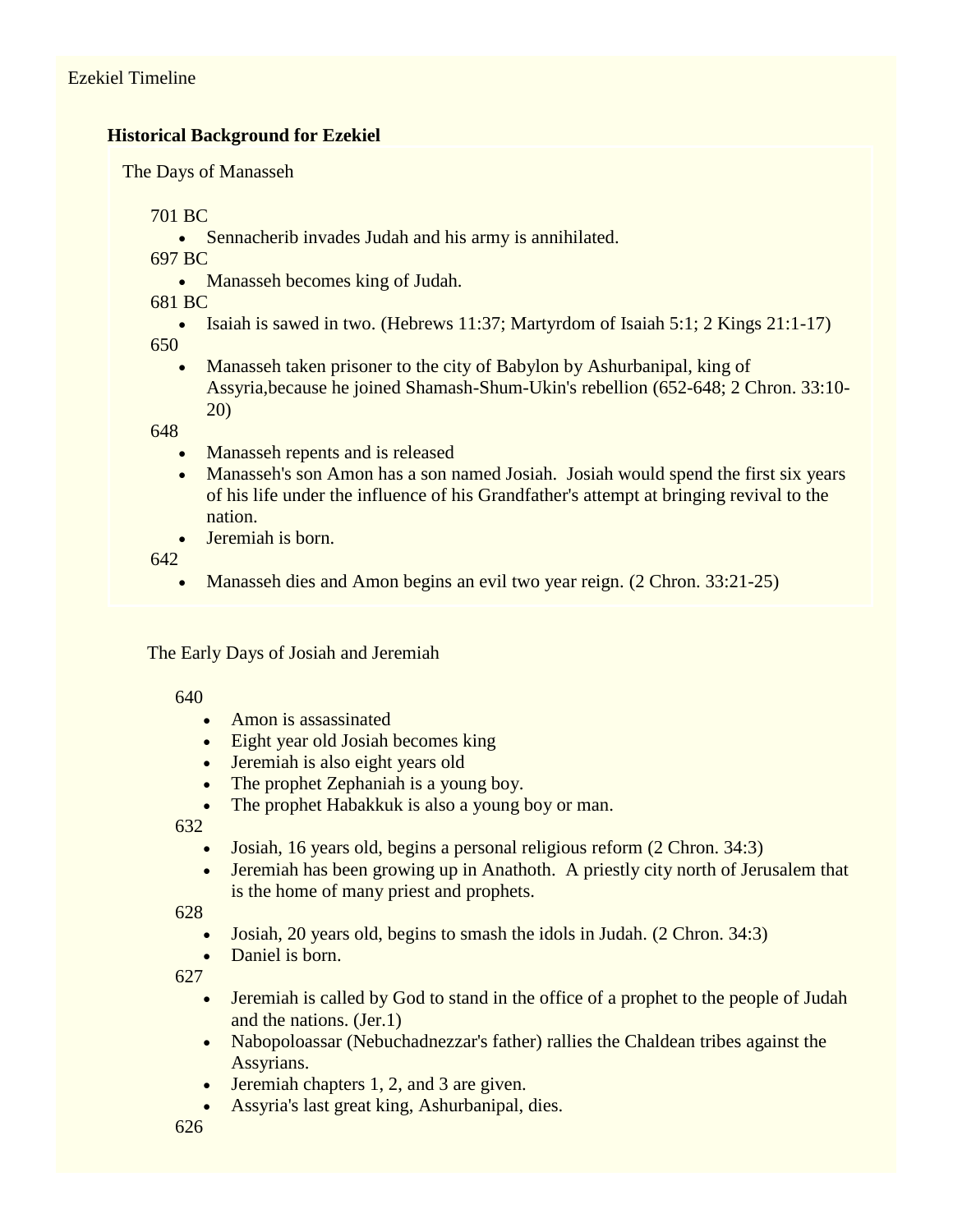# **Historical Background for Ezekiel**

The Days of Manasseh

701 BC

• Sennacherib invades Judah and his army is annihilated.

697 BC

• Manasseh becomes king of Judah.

681 BC

- Isaiah is sawed in two. (Hebrews 11:37; Martyrdom of Isaiah 5:1; 2 Kings 21:1-17) 650
	- Manasseh taken prisoner to the city of Babylon by Ashurbanipal, king of Assyria,because he joined Shamash-Shum-Ukin's rebellion (652-648; 2 Chron. 33:10- 20)

648

- Manasseh repents and is released
- Manasseh's son Amon has a son named Josiah. Josiah would spend the first six years of his life under the influence of his Grandfather's attempt at bringing revival to the nation.
- Jeremiah is born.

642

Manasseh dies and Amon begins an evil two year reign. (2 Chron. 33:21-25)

The Early Days of Josiah and Jeremiah

640

- Amon is assassinated
- Eight year old Josiah becomes king
- Jeremiah is also eight years old
- The prophet Zephaniah is a young boy.
- The prophet Habakkuk is also a young boy or man.

632

- Josiah, 16 years old, begins a personal religious reform (2 Chron. 34:3)
- Jeremiah has been growing up in Anathoth. A priestly city north of Jerusalem that is the home of many priest and prophets.

628

- Josiah, 20 years old, begins to smash the idols in Judah. (2 Chron. 34:3)
- Daniel is born.

- Jeremiah is called by God to stand in the office of a prophet to the people of Judah and the nations. (Jer.1)
- Nabopoloassar (Nebuchadnezzar's father) rallies the Chaldean tribes against the Assyrians.
- Jeremiah chapters 1, 2, and 3 are given.
- Assyria's last great king, Ashurbanipal, dies.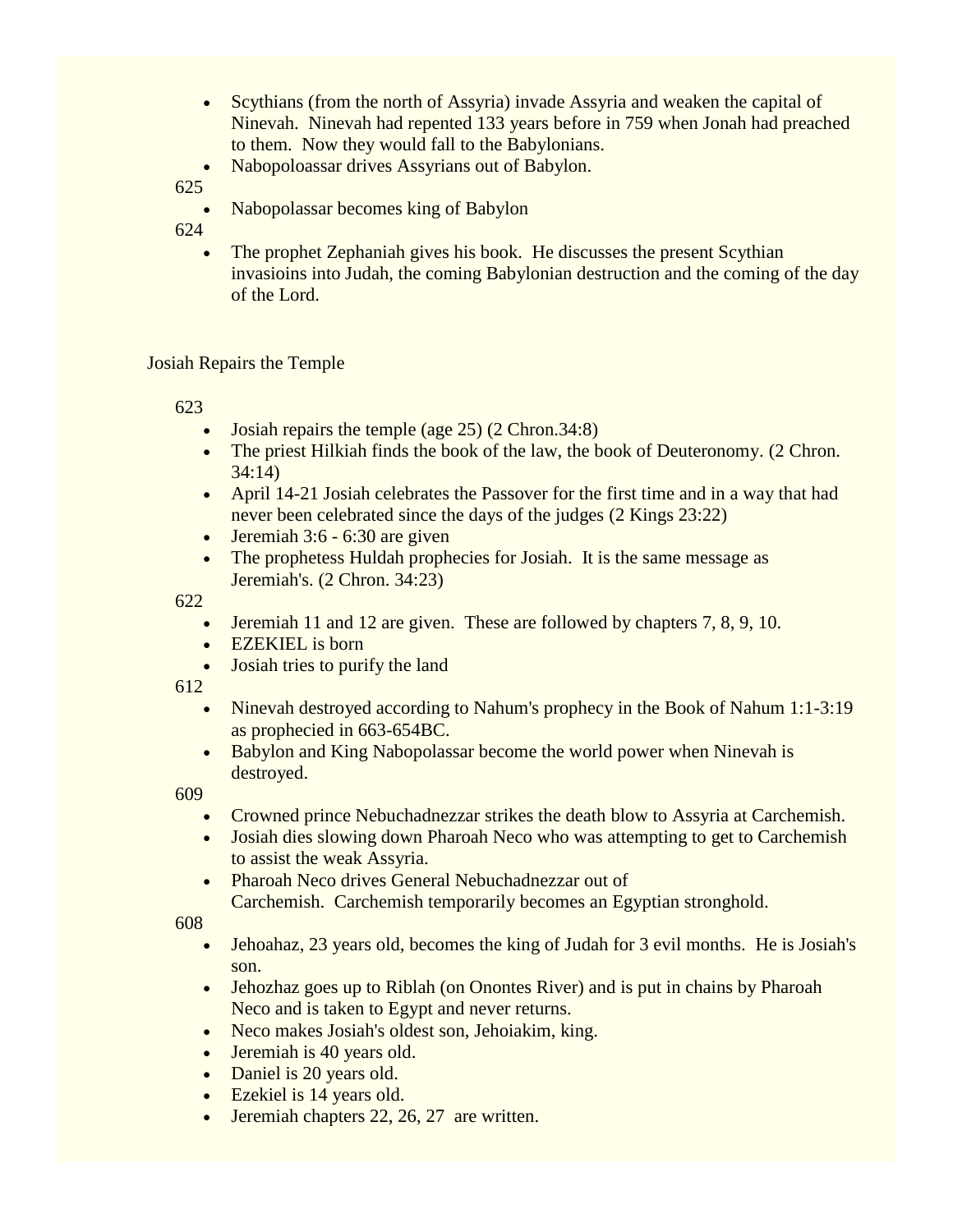- Scythians (from the north of Assyria) invade Assyria and weaken the capital of Ninevah. Ninevah had repented 133 years before in 759 when Jonah had preached to them. Now they would fall to the Babylonians.
- Nabopoloassar drives Assyrians out of Babylon.

Nabopolassar becomes king of Babylon

624

 The prophet Zephaniah gives his book. He discusses the present Scythian invasioins into Judah, the coming Babylonian destruction and the coming of the day of the Lord.

#### Josiah Repairs the Temple

623

- Josiah repairs the temple (age 25) (2 Chron.34:8)
- The priest Hilkiah finds the book of the law, the book of Deuteronomy. (2 Chron. 34:14)
- April 14-21 Josiah celebrates the Passover for the first time and in a way that had never been celebrated since the days of the judges (2 Kings 23:22)
- $\bullet$  Jeremiah 3:6 6:30 are given
- The prophetess Huldah prophecies for Josiah. It is the same message as Jeremiah's. (2 Chron. 34:23)

622

- Jeremiah 11 and 12 are given. These are followed by chapters 7, 8, 9, 10.
- EZEKIEL is born
- Josiah tries to purify the land

612

- Ninevah destroyed according to Nahum's prophecy in the Book of Nahum 1:1-3:19 as prophecied in 663-654BC.
- Babylon and King Nabopolassar become the world power when Ninevah is destroyed.

609

- Crowned prince Nebuchadnezzar strikes the death blow to Assyria at Carchemish.
- Josiah dies slowing down Pharoah Neco who was attempting to get to Carchemish to assist the weak Assyria.
- Pharoah Neco drives General Nebuchadnezzar out of Carchemish. Carchemish temporarily becomes an Egyptian stronghold.

- Jehoahaz, 23 years old, becomes the king of Judah for 3 evil months. He is Josiah's son.
- Jehozhaz goes up to Riblah (on Onontes River) and is put in chains by Pharoah Neco and is taken to Egypt and never returns.
- Neco makes Josiah's oldest son, Jehoiakim, king.
- Jeremiah is 40 years old.
- Daniel is 20 years old.
- Ezekiel is 14 years old.
- Jeremiah chapters 22, 26, 27 are written.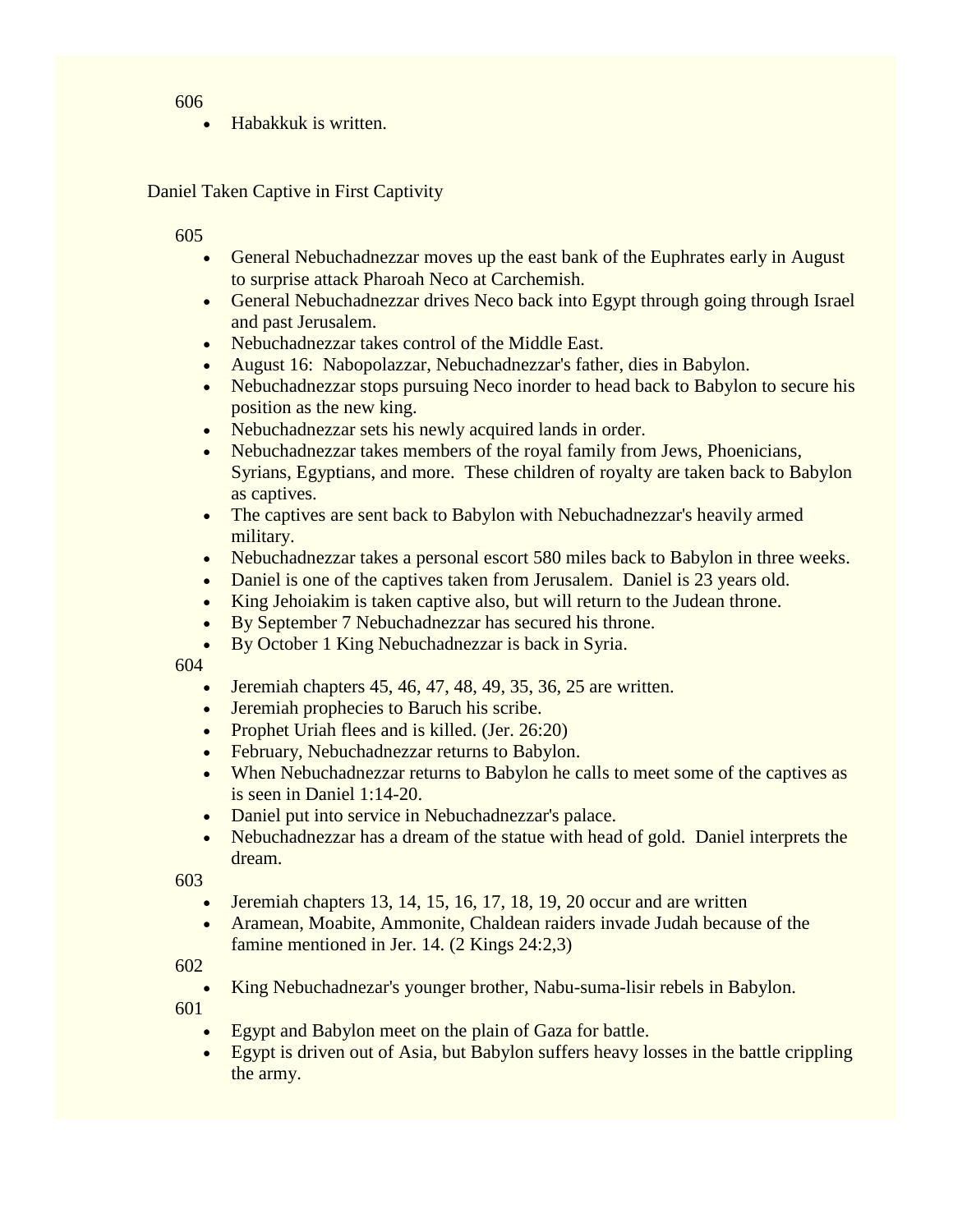Habakkuk is written.

Daniel Taken Captive in First Captivity

605

- General Nebuchadnezzar moves up the east bank of the Euphrates early in August to surprise attack Pharoah Neco at Carchemish.
- General Nebuchadnezzar drives Neco back into Egypt through going through Israel and past Jerusalem.
- Nebuchadnezzar takes control of the Middle East.
- August 16: Nabopolazzar, Nebuchadnezzar's father, dies in Babylon.
- Nebuchadnezzar stops pursuing Neco inorder to head back to Babylon to secure his position as the new king.
- Nebuchadnezzar sets his newly acquired lands in order.
- Nebuchadnezzar takes members of the royal family from Jews, Phoenicians, Syrians, Egyptians, and more. These children of royalty are taken back to Babylon as captives.
- The captives are sent back to Babylon with Nebuchadnezzar's heavily armed military.
- Nebuchadnezzar takes a personal escort 580 miles back to Babylon in three weeks.
- Daniel is one of the captives taken from Jerusalem. Daniel is 23 years old.
- King Jehoiakim is taken captive also, but will return to the Judean throne.
- By September 7 Nebuchadnezzar has secured his throne.
- By October 1 King Nebuchadnezzar is back in Syria.

604

- $\bullet$  Jeremiah chapters 45, 46, 47, 48, 49, 35, 36, 25 are written.
- Jeremiah prophecies to Baruch his scribe.
- Prophet Uriah flees and is killed. (Jer. 26:20)
- February, Nebuchadnezzar returns to Babylon.
- When Nebuchadnezzar returns to Babylon he calls to meet some of the captives as is seen in Daniel 1:14-20.
- Daniel put into service in Nebuchadnezzar's palace.
- Nebuchadnezzar has a dream of the statue with head of gold. Daniel interprets the dream.

603

- $\bullet$  Jeremiah chapters 13, 14, 15, 16, 17, 18, 19, 20 occur and are written
- Aramean, Moabite, Ammonite, Chaldean raiders invade Judah because of the famine mentioned in Jer. 14. (2 Kings 24:2,3)

602

King Nebuchadnezar's younger brother, Nabu-suma-lisir rebels in Babylon.

- Egypt and Babylon meet on the plain of Gaza for battle.
- Egypt is driven out of Asia, but Babylon suffers heavy losses in the battle crippling the army.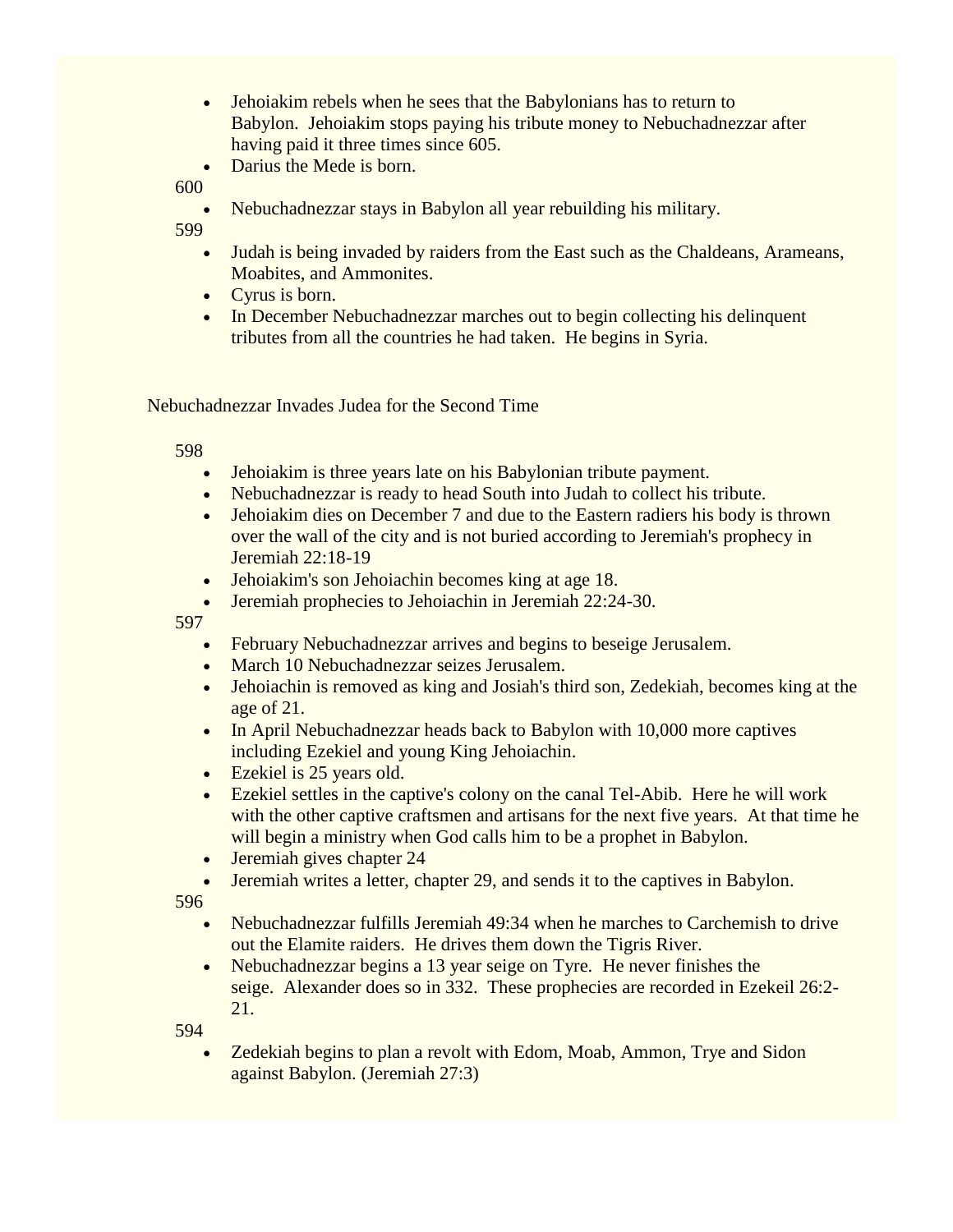- Jehoiakim rebels when he sees that the Babylonians has to return to Babylon. Jehoiakim stops paying his tribute money to Nebuchadnezzar after having paid it three times since 605.
- Darius the Mede is born.

• Nebuchadnezzar stays in Babylon all year rebuilding his military.

599

- Judah is being invaded by raiders from the East such as the Chaldeans, Arameans, Moabites, and Ammonites.
- Cyrus is born.
- In December Nebuchadnezzar marches out to begin collecting his delinquent tributes from all the countries he had taken. He begins in Syria.

Nebuchadnezzar Invades Judea for the Second Time

598

- Jehoiakim is three years late on his Babylonian tribute payment.
- Nebuchadnezzar is ready to head South into Judah to collect his tribute.
- Jehoiakim dies on December 7 and due to the Eastern radiers his body is thrown over the wall of the city and is not buried according to Jeremiah's prophecy in Jeremiah 22:18-19
- Jehoiakim's son Jehoiachin becomes king at age 18.
- Jeremiah prophecies to Jehoiachin in Jeremiah 22:24-30.

597

- February Nebuchadnezzar arrives and begins to beseige Jerusalem.
- March 10 Nebuchadnezzar seizes Jerusalem.
- Jehoiachin is removed as king and Josiah's third son, Zedekiah, becomes king at the age of 21.
- In April Nebuchadnezzar heads back to Babylon with 10,000 more captives including Ezekiel and young King Jehoiachin.
- Ezekiel is 25 years old.
- Ezekiel settles in the captive's colony on the canal Tel-Abib. Here he will work with the other captive craftsmen and artisans for the next five years. At that time he will begin a ministry when God calls him to be a prophet in Babylon.
- Jeremiah gives chapter 24
- Jeremiah writes a letter, chapter 29, and sends it to the captives in Babylon.

596

- Nebuchadnezzar fulfills Jeremiah 49:34 when he marches to Carchemish to drive out the Elamite raiders. He drives them down the Tigris River.
- Nebuchadnezzar begins a 13 year seige on Tyre. He never finishes the seige. Alexander does so in 332. These prophecies are recorded in Ezekeil 26:2- 21.

594

 Zedekiah begins to plan a revolt with Edom, Moab, Ammon, Trye and Sidon against Babylon. (Jeremiah 27:3)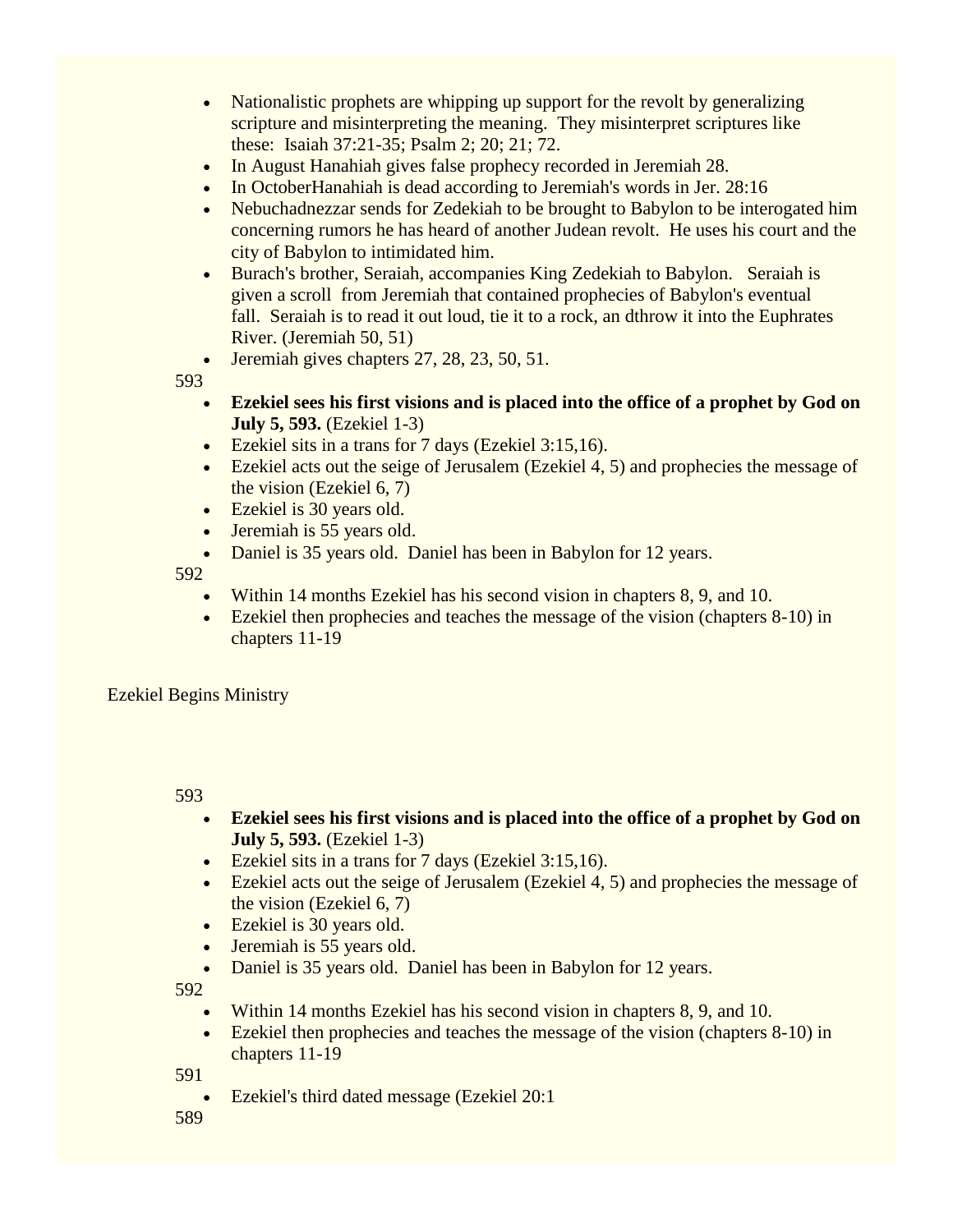- Nationalistic prophets are whipping up support for the revolt by generalizing scripture and misinterpreting the meaning. They misinterpret scriptures like these: Isaiah 37:21-35; Psalm 2; 20; 21; 72.
- In August Hanahiah gives false prophecy recorded in Jeremiah 28.
- In OctoberHanahiah is dead according to Jeremiah's words in Jer. 28:16
- Nebuchadnezzar sends for Zedekiah to be brought to Babylon to be interogated him concerning rumors he has heard of another Judean revolt. He uses his court and the city of Babylon to intimidated him.
- Burach's brother, Seraiah, accompanies King Zedekiah to Babylon. Seraiah is given a scroll from Jeremiah that contained prophecies of Babylon's eventual fall. Seraiah is to read it out loud, tie it to a rock, an dthrow it into the Euphrates River. (Jeremiah 50, 51)
- $\bullet$  Jeremiah gives chapters 27, 28, 23, 50, 51.

- **Ezekiel sees his first visions and is placed into the office of a prophet by God on July 5, 593.** (Ezekiel 1-3)
- Ezekiel sits in a trans for 7 days (Ezekiel 3:15,16).
- Ezekiel acts out the seige of Jerusalem (Ezekiel 4, 5) and prophecies the message of the vision (Ezekiel 6, 7)
- Ezekiel is 30 years old.
- Jeremiah is 55 years old.
- Daniel is 35 years old. Daniel has been in Babylon for 12 years.

592

- Within 14 months Ezekiel has his second vision in chapters 8, 9, and 10.
- Ezekiel then prophecies and teaches the message of the vision (chapters 8-10) in chapters 11-19

Ezekiel Begins Ministry

593

- **Ezekiel sees his first visions and is placed into the office of a prophet by God on July 5, 593.** (Ezekiel 1-3)
- Ezekiel sits in a trans for 7 days (Ezekiel 3:15,16).
- Ezekiel acts out the seige of Jerusalem (Ezekiel 4, 5) and prophecies the message of the vision (Ezekiel 6, 7)
- Ezekiel is 30 years old.
- Jeremiah is 55 years old.
- Daniel is 35 years old. Daniel has been in Babylon for 12 years.

592

- Within 14 months Ezekiel has his second vision in chapters 8, 9, and 10.
- Ezekiel then prophecies and teaches the message of the vision (chapters 8-10) in chapters 11-19

591

Ezekiel's third dated message (Ezekiel 20:1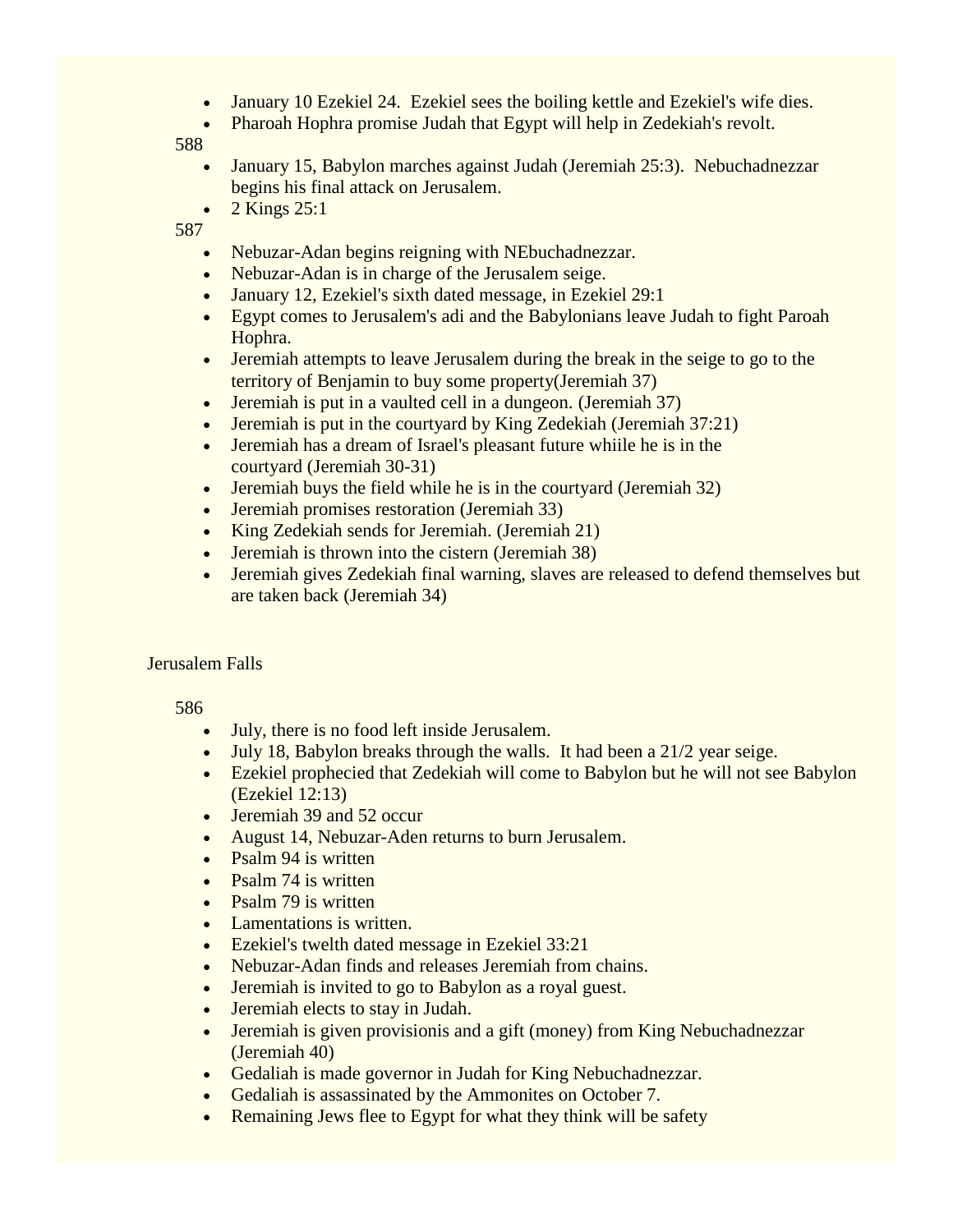- January 10 Ezekiel 24. Ezekiel sees the boiling kettle and Ezekiel's wife dies.
- Pharoah Hophra promise Judah that Egypt will help in Zedekiah's revolt.

- January 15, Babylon marches against Judah (Jeremiah 25:3). Nebuchadnezzar begins his final attack on Jerusalem.
- $\bullet$  2 Kings 25:1

587

- Nebuzar-Adan begins reigning with NEbuchadnezzar.
- Nebuzar-Adan is in charge of the Jerusalem seige.
- January 12, Ezekiel's sixth dated message, in Ezekiel 29:1
- Egypt comes to Jerusalem's adi and the Babylonians leave Judah to fight Paroah Hophra.
- Jeremiah attempts to leave Jerusalem during the break in the seige to go to the territory of Benjamin to buy some property(Jeremiah 37)
- Jeremiah is put in a vaulted cell in a dungeon. (Jeremiah 37)
- Jeremiah is put in the courtyard by King Zedekiah (Jeremiah 37:21)
- Jeremiah has a dream of Israel's pleasant future whiile he is in the courtyard (Jeremiah 30-31)
- Jeremiah buys the field while he is in the courtyard (Jeremiah 32)
- Jeremiah promises restoration (Jeremiah 33)
- King Zedekiah sends for Jeremiah. (Jeremiah 21)
- Jeremiah is thrown into the cistern (Jeremiah 38)
- Jeremiah gives Zedekiah final warning, slaves are released to defend themselves but are taken back (Jeremiah 34)

## Jerusalem Falls

- July, there is no food left inside Jerusalem.
- July 18, Babylon breaks through the walls. It had been a 21/2 year seige.
- Ezekiel prophecied that Zedekiah will come to Babylon but he will not see Babylon (Ezekiel 12:13)
- Jeremiah 39 and 52 occur
- August 14, Nebuzar-Aden returns to burn Jerusalem.
- $\bullet$  Psalm 94 is written
- Psalm 74 is written
- Psalm 79 is written
- Lamentations is written.
- Ezekiel's twelth dated message in Ezekiel 33:21
- Nebuzar-Adan finds and releases Jeremiah from chains.
- Jeremiah is invited to go to Babylon as a royal guest.
- Jeremiah elects to stay in Judah.
- Jeremiah is given provisionis and a gift (money) from King Nebuchadnezzar (Jeremiah 40)
- Gedaliah is made governor in Judah for King Nebuchadnezzar.
- Gedaliah is assassinated by the Ammonites on October 7.
- Remaining Jews flee to Egypt for what they think will be safety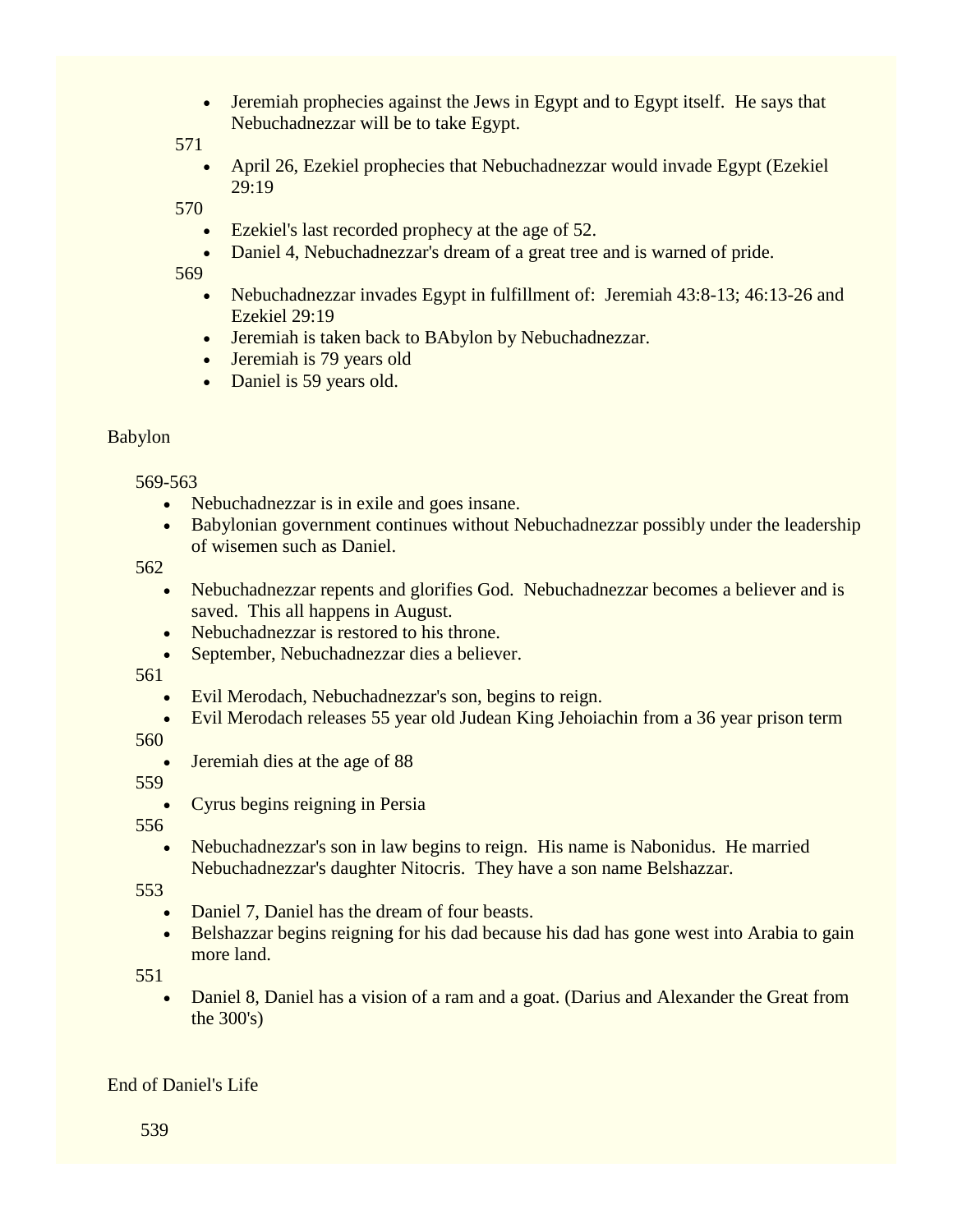• Jeremiah prophecies against the Jews in Egypt and to Egypt itself. He says that Nebuchadnezzar will be to take Egypt.

571

 April 26, Ezekiel prophecies that Nebuchadnezzar would invade Egypt (Ezekiel 29:19

570

- Ezekiel's last recorded prophecy at the age of 52.
- Daniel 4, Nebuchadnezzar's dream of a great tree and is warned of pride.

569

- Nebuchadnezzar invades Egypt in fulfillment of: Jeremiah 43:8-13; 46:13-26 and Ezekiel 29:19
- Jeremiah is taken back to BAbylon by Nebuchadnezzar.
- Jeremiah is 79 years old
- Daniel is 59 years old.

#### Babylon

569-563

- Nebuchadnezzar is in exile and goes insane.
- Babylonian government continues without Nebuchadnezzar possibly under the leadership of wisemen such as Daniel.

562

- Nebuchadnezzar repents and glorifies God. Nebuchadnezzar becomes a believer and is saved. This all happens in August.
- Nebuchadnezzar is restored to his throne.
- September, Nebuchadnezzar dies a believer.

561

- Evil Merodach, Nebuchadnezzar's son, begins to reign.
- Evil Merodach releases 55 year old Judean King Jehoiachin from a 36 year prison term

560

Jeremiah dies at the age of 88

559

Cyrus begins reigning in Persia

556

• Nebuchadnezzar's son in law begins to reign. His name is Nabonidus. He married Nebuchadnezzar's daughter Nitocris. They have a son name Belshazzar.

553

- Daniel 7, Daniel has the dream of four beasts.
- Belshazzar begins reigning for his dad because his dad has gone west into Arabia to gain more land.

551

 Daniel 8, Daniel has a vision of a ram and a goat. (Darius and Alexander the Great from the 300's)

## End of Daniel's Life